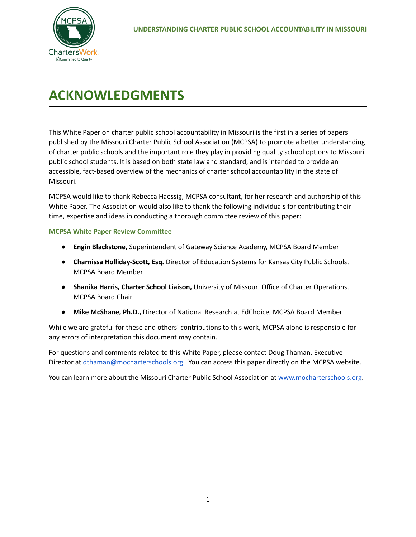

# **ACKNOWLEDGMENTS**

This White Paper on charter public school accountability in Missouri is the first in a series of papers published by the Missouri Charter Public School Association (MCPSA) to promote a better understanding of charter public schools and the important role they play in providing quality school options to Missouri public school students. It is based on both state law and standard, and is intended to provide an accessible, fact-based overview of the mechanics of charter school accountability in the state of Missouri.

MCPSA would like to thank Rebecca Haessig, MCPSA consultant, for her research and authorship of this White Paper. The Association would also like to thank the following individuals for contributing their time, expertise and ideas in conducting a thorough committee review of this paper:

### **MCPSA White Paper Review Committee**

- **Engin Blackstone,** Superintendent of Gateway Science Academy, MCPSA Board Member
- **Charnissa Holliday-Scott, Esq.** Director of Education Systems for Kansas City Public Schools, MCPSA Board Member
- **Shanika Harris, Charter School Liaison,** University of Missouri Office of Charter Operations, MCPSA Board Chair
- **Mike McShane, Ph.D.,** Director of National Research at EdChoice, MCPSA Board Member

While we are grateful for these and others' contributions to this work, MCPSA alone is responsible for any errors of interpretation this document may contain.

For questions and comments related to this White Paper, please contact Doug Thaman, Executive Director at [dthaman@mocharterschools.org.](mailto:dthaman@mocharterschools.org) You can access this paper directly on the MCPSA website.

You can learn more about the Missouri Charter Public School Association at [www.mocharterschools.org.](http://www.mocharterschools.org)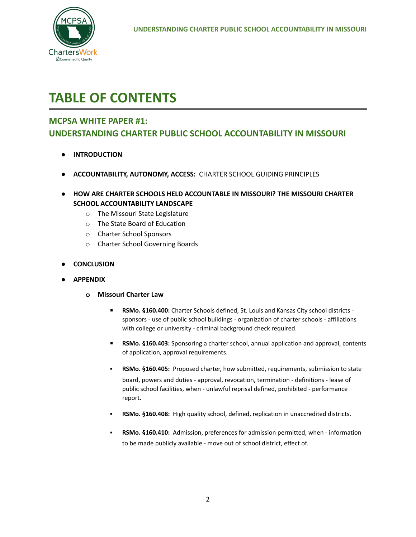

# **TABLE OF CONTENTS**

### **MCPSA WHITE PAPER #1:**

# **UNDERSTANDING CHARTER PUBLIC SCHOOL ACCOUNTABILITY IN MISSOURI**

- **● INTRODUCTION**
- **● ACCOUNTABILITY, AUTONOMY, ACCESS:** CHARTER SCHOOL GUIDING PRINCIPLES
- **● HOW ARE CHARTER SCHOOLS HELD ACCOUNTABLE IN MISSOURI? THE MISSOURI CHARTER SCHOOL ACCOUNTABILITY LANDSCAPE**
	- o The Missouri State Legislature
	- o The State Board of Education
	- o Charter School Sponsors
	- o Charter School Governing Boards
- **● CONCLUSION**
- **● APPENDIX**
	- **o Missouri Charter Law**
		- **RSMo. §160.400:** Charter Schools defined, St. Louis and Kansas City school districts sponsors - use of public school buildings - organization of charter schools - affiliations with college or university - criminal background check required.
		- **RSMo. §160.403:** Sponsoring a charter school, annual application and approval, contents of application, approval requirements.
		- RSMo. §160.405: Proposed charter, how submitted, requirements, submission to state board, powers and duties - approval, revocation, termination - definitions - lease of public school facilities, when - unlawful reprisal defined, prohibited - performance report.
		- RSMo. §160.408: High quality school, defined, replication in unaccredited districts.
		- **RSMo. §160.410:** Admission, preferences for admission permitted, when information to be made publicly available - move out of school district, effect of.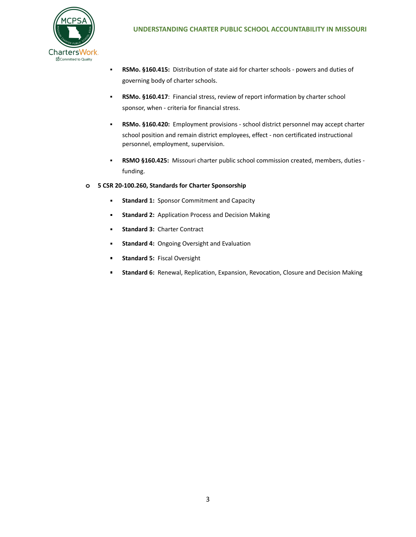

- **RSMo. §160.415:** Distribution of state aid for charter schools powers and duties of governing body of charter schools.
- **RSMo. §160.417**: Financial stress, review of report information by charter school sponsor, when - criteria for financial stress.
- **RSMo. §160.420:** Employment provisions school district personnel may accept charter school position and remain district employees, effect - non certificated instructional personnel, employment, supervision.
- **RSMO §160.425:** Missouri charter public school commission created, members, duties funding.
- **o 5 CSR 20-100.260, Standards for Charter Sponsorship**
	- **EXECUTE:** Sponsor Commitment and Capacity
	- **EXECTE:** Standard 2: Application Process and Decision Making
	- **Standard 3: Charter Contract**
	- **EXECTA:** Ongoing Oversight and Evaluation
	- **Standard 5:** Fiscal Oversight
	- **E** Standard 6: Renewal, Replication, Expansion, Revocation, Closure and Decision Making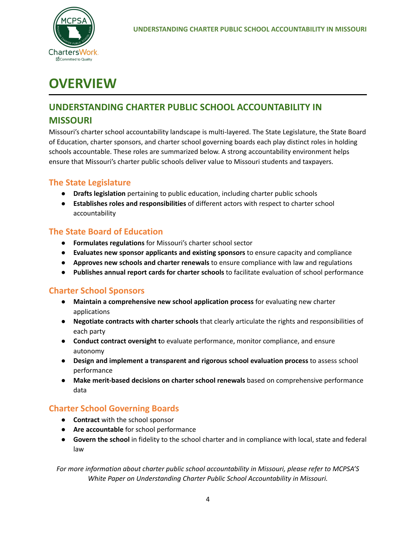

# **OVERVIEW**

# **UNDERSTANDING CHARTER PUBLIC SCHOOL ACCOUNTABILITY IN**

## **MISSOURI**

Missouri's charter school accountability landscape is multi-layered. The State Legislature, the State Board of Education, charter sponsors, and charter school governing boards each play distinct roles in holding schools accountable. These roles are summarized below. A strong accountability environment helps ensure that Missouri's charter public schools deliver value to Missouri students and taxpayers.

# **The State Legislature**

- **● Drafts legislation** pertaining to public education, including charter public schools
- **● Establishes roles and responsibilities** of different actors with respect to charter school accountability

# **The State Board of Education**

- **● Formulates regulations** for Missouri's charter school sector
- **● Evaluates new sponsor applicants and existing sponsors** to ensure capacity and compliance
- **● Approves new schools and charter renewals** to ensure compliance with law and regulations
- **Publishes annual report cards for charter schools** to facilitate evaluation of school performance

# **Charter School Sponsors**

- **● Maintain a comprehensive new school application process** for evaluating new charter applications
- **● Negotiate contracts with charter schools** that clearly articulate the rights and responsibilities of each party
- **● Conduct contract oversight t**o evaluate performance, monitor compliance, and ensure autonomy
- **● Design and implement a transparent and rigorous school evaluation process** to assess school performance
- **● Make merit-based decisions on charter school renewals** based on comprehensive performance data

# **Charter School Governing Boards**

- **● Contract** with the school sponsor
- **● Are accountable** for school performance
- **● Govern the school** in fidelity to the school charter and in compliance with local, state and federal law

*For more information about charter public school accountability in Missouri, please refer to MCPSA'S White Paper on Understanding Charter Public School Accountability in Missouri.*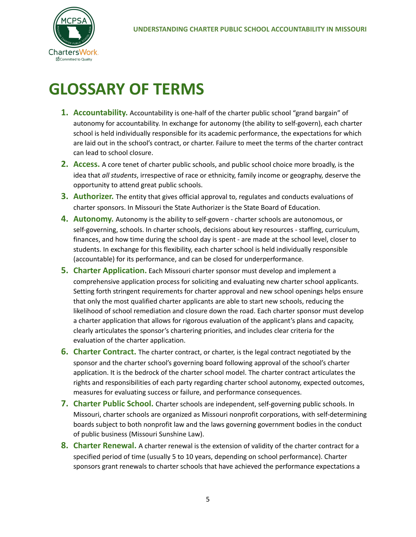# **GLOSSARY OF TERMS**

- **1. Accountability.** Accountability is one-half of the charter public school "grand bargain" of autonomy for accountability. In exchange for autonomy (the ability to self-govern), each charter school is held individually responsible for its academic performance, the expectations for which are laid out in the school's contract, or charter. Failure to meet the terms of the charter contract can lead to school closure.
- **2. Access.** A core tenet of charter public schools, and public school choice more broadly, is the idea that *all students*, irrespective of race or ethnicity, family income or geography, deserve the opportunity to attend great public schools.
- **3. Authorizer.** The entity that gives official approval to, regulates and conducts evaluations of charter sponsors. In Missouri the State Authorizer is the State Board of Education.
- **4. Autonomy.** Autonomy is the ability to self-govern charter schools are autonomous, or self-governing, schools. In charter schools, decisions about key resources - staffing, curriculum, finances, and how time during the school day is spent - are made at the school level, closer to students. In exchange for this flexibility, each charter school is held individually responsible (accountable) for its performance, and can be closed for underperformance.
- **5. Charter Application.** Each Missouri charter sponsor must develop and implement a comprehensive application process for soliciting and evaluating new charter school applicants. Setting forth stringent requirements for charter approval and new school openings helps ensure that only the most qualified charter applicants are able to start new schools, reducing the likelihood of school remediation and closure down the road. Each charter sponsor must develop a charter application that allows for rigorous evaluation of the applicant's plans and capacity, clearly articulates the sponsor's chartering priorities, and includes clear criteria for the evaluation of the charter application.
- **6. Charter Contract.** The charter contract, or charter, is the legal contract negotiated by the sponsor and the charter school's governing board following approval of the school's charter application. It is the bedrock of the charter school model. The charter contract articulates the rights and responsibilities of each party regarding charter school autonomy, expected outcomes, measures for evaluating success or failure, and performance consequences.
- **7. Charter Public School.** Charter schools are independent, self-governing public schools. In Missouri, charter schools are organized as Missouri nonprofit corporations, with self-determining boards subject to both nonprofit law and the laws governing government bodies in the conduct of public business (Missouri Sunshine Law).
- **8. Charter Renewal.** A charter renewal is the extension of validity of the charter contract for a specified period of time (usually 5 to 10 years, depending on school performance). Charter sponsors grant renewals to charter schools that have achieved the performance expectations a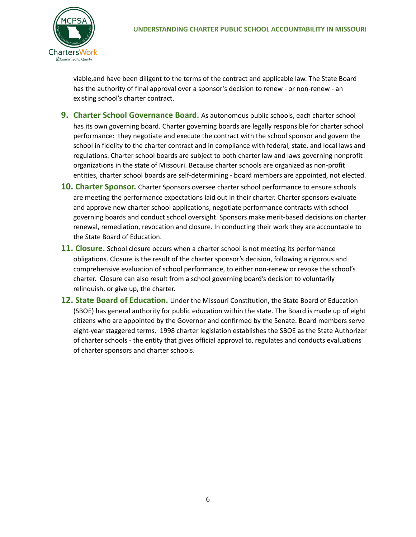

viable,and have been diligent to the terms of the contract and applicable law. The State Board has the authority of final approval over a sponsor's decision to renew - or non-renew - an existing school's charter contract.

- **9. Charter School Governance Board.** As autonomous public schools, each charter school has its own governing board. Charter governing boards are legally responsible for charter school performance: they negotiate and execute the contract with the school sponsor and govern the school in fidelity to the charter contract and in compliance with federal, state, and local laws and regulations. Charter school boards are subject to both charter law and laws governing nonprofit organizations in the state of Missouri. Because charter schools are organized as non-profit entities, charter school boards are self-determining - board members are appointed, not elected.
- **10. Charter Sponsor.** Charter Sponsors oversee charter school performance to ensure schools are meeting the performance expectations laid out in their charter. Charter sponsors evaluate and approve new charter school applications, negotiate performance contracts with school governing boards and conduct school oversight. Sponsors make merit-based decisions on charter renewal, remediation, revocation and closure. In conducting their work they are accountable to the State Board of Education.
- **11. Closure.** School closure occurs when a charter school is not meeting its performance obligations. Closure is the result of the charter sponsor's decision, following a rigorous and comprehensive evaluation of school performance, to either non-renew or revoke the school's charter. Closure can also result from a school governing board's decision to voluntarily relinquish, or give up, the charter.
- **12. State Board of Education.** Under the Missouri Constitution, the State Board of Education (SBOE) has general authority for public education within the state. The Board is made up of eight citizens who are appointed by the Governor and confirmed by the Senate. Board members serve eight-year staggered terms. 1998 charter legislation establishes the SBOE as the State Authorizer of charter schools - the entity that gives official approval to, regulates and conducts evaluations of charter sponsors and charter schools.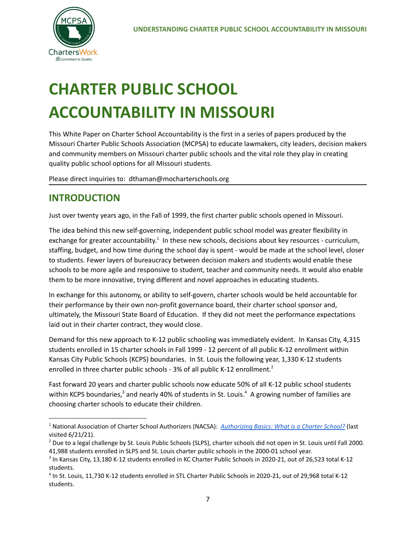# **CHARTER PUBLIC SCHOOL ACCOUNTABILITY IN MISSOURI**

This White Paper on Charter School Accountability is the first in a series of papers produced by the Missouri Charter Public Schools Association (MCPSA) to educate lawmakers, city leaders, decision makers and community members on Missouri charter public schools and the vital role they play in creating quality public school options for all Missouri students.

Please direct inquiries to: dthaman@mocharterschools.org

# **INTRODUCTION**

Just over twenty years ago, in the Fall of 1999, the first charter public schools opened in Missouri.

The idea behind this new self-governing, independent public school model was greater flexibility in exchange for greater accountability.<sup>1</sup> In these new schools, decisions about key resources - curriculum, staffing, budget, and how time during the school day is spent - would be made at the school level, closer to students. Fewer layers of bureaucracy between decision makers and students would enable these schools to be more agile and responsive to student, teacher and community needs. It would also enable them to be more innovative, trying different and novel approaches in educating students.

In exchange for this autonomy, or ability to self-govern, charter schools would be held accountable for their performance by their own non-profit governance board, their charter school sponsor and, ultimately, the Missouri State Board of Education. If they did not meet the performance expectations laid out in their charter contract, they would close.

Demand for this new approach to K-12 public schooling was immediately evident. In Kansas City, 4,315 students enrolled in 15 charter schools in Fall 1999 - 12 percent of all public K-12 enrollment within Kansas City Public Schools (KCPS) boundaries. In St. Louis the following year, 1,330 K-12 students enrolled in three charter public schools - 3% of all public K-12 enrollment.<sup>2</sup>

Fast forward 20 years and charter public schools now educate 50% of all K-12 public school students within KCPS boundaries,<sup>3</sup> and nearly 40% of students in St. Louis.<sup>4</sup> A growing number of families are choosing charter schools to educate their children.

<sup>1</sup> National Association of Charter School Authorizers (NACSA): *[Authorizing](https://www.qualitycharters.org/authorizingmatters/) Basics: What is a Charter School?* (last visited 6/21/21).

<sup>&</sup>lt;sup>2</sup> Due to a legal challenge by St. Louis Public Schools (SLPS), charter schools did not open in St. Louis until Fall 2000. 41,988 students enrolled in SLPS and St. Louis charter public schools in the 2000-01 school year.

<sup>&</sup>lt;sup>3</sup> In Kansas City, 13,180 K-12 students enrolled in KC Charter Public Schools in 2020-21, out of 26,523 total K-12 students.

<sup>4</sup> In St. Louis, 11,730 K-12 students enrolled in STL Charter Public Schools in 2020-21, out of 29,968 total K-12 students.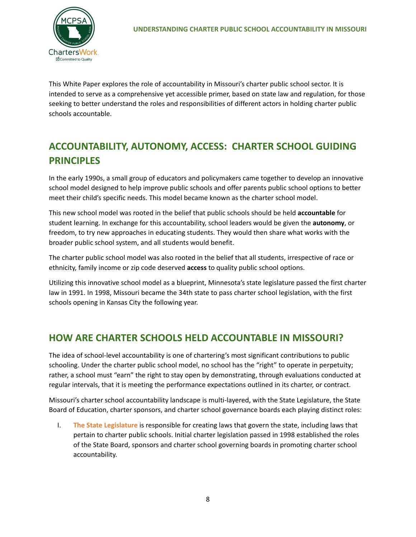This White Paper explores the role of accountability in Missouri's charter public school sector. It is intended to serve as a comprehensive yet accessible primer, based on state law and regulation, for those seeking to better understand the roles and responsibilities of different actors in holding charter public schools accountable.

# **ACCOUNTABILITY, AUTONOMY, ACCESS: CHARTER SCHOOL GUIDING PRINCIPLES**

In the early 1990s, a small group of educators and policymakers came together to develop an innovative school model designed to help improve public schools and offer parents public school options to better meet their child's specific needs. This model became known as the charter school model.

This new school model was rooted in the belief that public schools should be held **accountable** for student learning. In exchange for this accountability, school leaders would be given the **autonomy**, or freedom, to try new approaches in educating students. They would then share what works with the broader public school system, and all students would benefit.

The charter public school model was also rooted in the belief that all students, irrespective of race or ethnicity, family income or zip code deserved **access** to quality public school options.

Utilizing this innovative school model as a blueprint, Minnesota's state legislature passed the first charter law in 1991. In 1998, Missouri became the 34th state to pass charter school legislation, with the first schools opening in Kansas City the following year.

# **HOW ARE CHARTER SCHOOLS HELD ACCOUNTABLE IN MISSOURI?**

The idea of school-level accountability is one of chartering's most significant contributions to public schooling. Under the charter public school model, no school has the "right" to operate in perpetuity; rather, a school must "earn" the right to stay open by demonstrating, through evaluations conducted at regular intervals, that it is meeting the performance expectations outlined in its charter, or contract.

Missouri's charter school accountability landscape is multi-layered, with the State Legislature, the State Board of Education, charter sponsors, and charter school governance boards each playing distinct roles:

I. **The State Legislature** is responsible for creating laws that govern the state, including laws that pertain to charter public schools. Initial charter legislation passed in 1998 established the roles of the State Board, sponsors and charter school governing boards in promoting charter school accountability.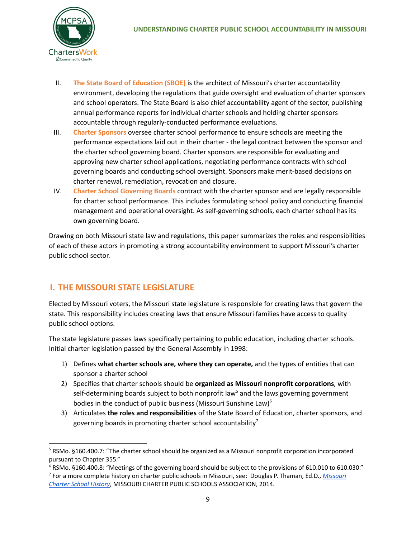

- II. **The State Board of Education (SBOE)** is the architect of Missouri's charter accountability environment, developing the regulations that guide oversight and evaluation of charter sponsors and school operators. The State Board is also chief accountability agent of the sector, publishing annual performance reports for individual charter schools and holding charter sponsors accountable through regularly-conducted performance evaluations.
- III. **Charter Sponsors** oversee charter school performance to ensure schools are meeting the performance expectations laid out in their charter - the legal contract between the sponsor and the charter school governing board. Charter sponsors are responsible for evaluating and approving new charter school applications, negotiating performance contracts with school governing boards and conducting school oversight. Sponsors make merit-based decisions on charter renewal, remediation, revocation and closure.
- IV. **Charter School Governing Boards** contract with the charter sponsor and are legally responsible for charter school performance. This includes formulating school policy and conducting financial management and operational oversight. As self-governing schools, each charter school has its own governing board.

Drawing on both Missouri state law and regulations, this paper summarizes the roles and responsibilities of each of these actors in promoting a strong accountability environment to support Missouri's charter public school sector.

# **I. THE MISSOURI STATE LEGISLATURE**

Elected by Missouri voters, the Missouri state legislature is responsible for creating laws that govern the state. This responsibility includes creating laws that ensure Missouri families have access to quality public school options.

The state legislature passes laws specifically pertaining to public education, including charter schools. Initial charter legislation passed by the General Assembly in 1998:

- 1) Defines **what charter schools are, where they can operate,** and the types of entities that can sponsor a charter school
- 2) Specifies that charter schools should be **organized as Missouri nonprofit corporations**, with self-determining boards subject to both nonprofit law<sup>5</sup> and the laws governing government bodies in the conduct of public business (Missouri Sunshine Law)<sup>6</sup>
- 3) Articulates **the roles and responsibilities** of the State Board of Education, charter sponsors, and governing boards in promoting charter school accountability<sup>7</sup>

<sup>5</sup> RSMo. §160.400.7: "The charter school should be organized as a Missouri nonprofit corporation incorporated pursuant to Chapter 355."

<sup>7</sup> For a more complete history on charter public schools in Missouri, see: Douglas P. Thaman, Ed.D., *[Missouri](https://www.mocharterschools.org/apps/pages/index.jsp?uREC_ID=1757901&type=d&pREC_ID=1939348)* <sup>6</sup> RSMo. §160.400.8: "Meetings of the governing board should be subject to the provisions of 610.010 to 610.030."

*[Charter](https://www.mocharterschools.org/apps/pages/index.jsp?uREC_ID=1757901&type=d&pREC_ID=1939348) School History*, MISSOURI CHARTER PUBLIC SCHOOLS ASSOCIATION, 2014.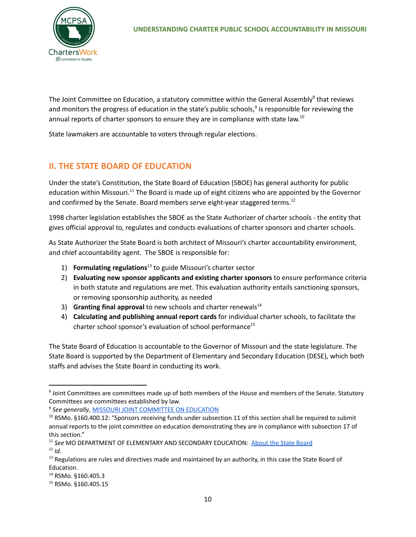

The Joint Committee on Education, a statutory committee within the General Assembly<sup>8</sup> that reviews and monitors the progress of education in the state's public schools,<sup>9</sup> is responsible for reviewing the annual reports of charter sponsors to ensure they are in compliance with state law.<sup>10</sup>

State lawmakers are accountable to voters through regular elections.

### **II. THE STATE BOARD OF EDUCATION**

Under the state's Constitution, the State Board of Education (SBOE) has general authority for public education within Missouri.<sup>11</sup> The Board is made up of eight citizens who are appointed by the Governor and confirmed by the Senate. Board members serve eight-year staggered terms.<sup>12</sup>

1998 charter legislation establishes the SBOE as the State Authorizer of charter schools - the entity that gives official approval to, regulates and conducts evaluations of charter sponsors and charter schools.

As State Authorizer the State Board is both architect of Missouri's charter accountability environment, and chief accountability agent. The SBOE is responsible for:

- 1) **Formulating regulations**<sup>13</sup> to guide Missouri's charter sector
- 2) **Evaluating new sponsor applicants and existing charter sponsors** to ensure performance criteria in both statute and regulations are met. This evaluation authority entails sanctioning sponsors, or removing sponsorship authority, as needed
- 3) **Granting final approval** to new schools and charter renewals 14
- 4) **Calculating and publishing annual report cards** for individual charter schools, to facilitate the charter school sponsor's evaluation of school performance 15

The State Board of Education is accountable to the Governor of Missouri and the state legislature. The State Board is supported by the Department of Elementary and Secondary Education (DESE), which both staffs and advises the State Board in conducting its work.

<sup>&</sup>lt;sup>8</sup> Joint Committees are committees made up of both members of the House and members of the Senate. Statutory Committees are committees established by law.

<sup>9</sup> *See generally*, MISSOURI JOINT [COMMITTEE](https://www.senate.mo.gov/jced/) ON EDUCATION

 $10$  RSMo. §160.400.12: "Sponsors receiving funds under subsection 11 of this section shall be required to submit annual reports to the joint committee on education demonstrating they are in compliance with subsection 17 of this section."

<sup>12</sup> *Id.* <sup>11</sup> See MO DEPARTMENT OF ELEMENTARY AND SECONDARY EDUCATION: **[About](https://dese.mo.gov/state-board-education/about-state-board) the State Board** 

 $13$  Regulations are rules and directives made and maintained by an authority, in this case the State Board of Education.

<sup>&</sup>lt;sup>14</sup> RSMo. §160.405.3

<sup>15</sup> RSMo. §160.405.15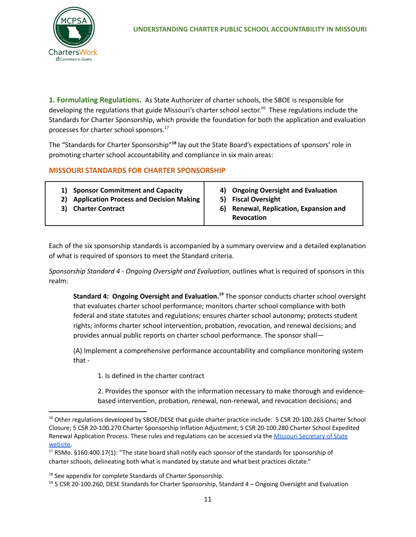

**1. Formulating Regulations.** As State Authorizer of charter schools, the SBOE is responsible for developing the regulations that guide Missouri's charter school sector.<sup>16</sup> These regulations include the Standards for Charter Sponsorship, which provide the foundation for both the application and evaluation processes for charter school sponsors. 17

The "Standards for Charter Sponsorship"<sup>18</sup> lay out the State Board's expectations of sponsors' role in promoting charter school accountability and compliance in six main areas:

### **MISSOURI STANDARDS FOR CHARTER SPONSORSHIP**

| <b>Sponsor Commitment and Capacity</b>         | 4) Ongoing Oversight and Evaluation |
|------------------------------------------------|-------------------------------------|
| 1)                                             | <b>Fiscal Oversight</b>             |
| <b>Application Process and Decision Making</b> | 51                                  |
| 2)                                             | Renewal, Replication, Expansion and |
| <b>Charter Contract</b>                        | 6)                                  |
| 3)                                             | <b>Revocation</b>                   |

Each of the six sponsorship standards is accompanied by a summary overview and a detailed explanation of what is required of sponsors to meet the Standard criteria.

*Sponsorship Standard 4 - Ongoing Oversight and Evaluation*, outlines what is required of sponsors in this realm:

**Standard 4: Ongoing Oversight and Evaluation. <sup>19</sup>** The sponsor conducts charter school oversight that evaluates charter school performance; monitors charter school compliance with both federal and state statutes and regulations; ensures charter school autonomy; protects student rights; informs charter school intervention, probation, revocation, and renewal decisions; and provides annual public reports on charter school performance. The sponsor shall—

(A) Implement a comprehensive performance accountability and compliance monitoring system that -

1. Is defined in the charter contract

2. Provides the sponsor with the information necessary to make thorough and evidencebased intervention, probation, renewal, non-renewal, and revocation decisions; and

<sup>&</sup>lt;sup>16</sup> Other regulations developed by SBOE/DESE that guide charter practice include: 5 CSR 20-100.265 Charter School Closure; 5 CSR 20-100.270 Charter Sponsorship Inflation Adjustment; 5 CSR 20-100.280 Charter School Expedited Renewal Application Process. These rules and regulations can be accessed via the Missouri [Secretary](https://www.sos.mo.gov/cmsimages/adrules/csr/current/5csr/5c20-100.pdf) of State [website.](https://www.sos.mo.gov/cmsimages/adrules/csr/current/5csr/5c20-100.pdf)

<sup>&</sup>lt;sup>17</sup> RSMo. §160.400.17(1): "The state board shall notify each sponsor of the standards for sponsorship of charter schools, delineating both what is mandated by statute and what best practices dictate."

<sup>&</sup>lt;sup>18</sup> See appendix for complete Standards of Charter Sponsorship.

 $19$  5 CSR 20-100.260, DESE Standards for Charter Sponsorship, Standard 4 – Ongoing Oversight and Evaluation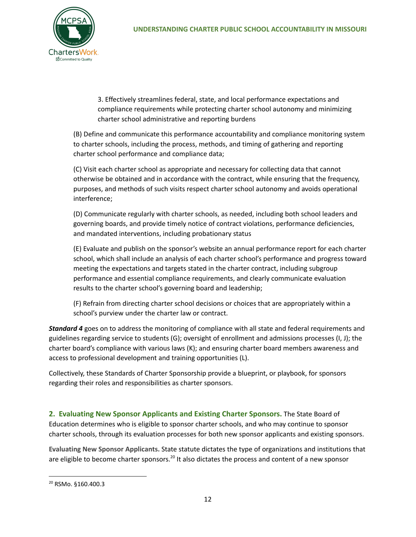

3. Effectively streamlines federal, state, and local performance expectations and compliance requirements while protecting charter school autonomy and minimizing charter school administrative and reporting burdens

(B) Define and communicate this performance accountability and compliance monitoring system to charter schools, including the process, methods, and timing of gathering and reporting charter school performance and compliance data;

(C) Visit each charter school as appropriate and necessary for collecting data that cannot otherwise be obtained and in accordance with the contract, while ensuring that the frequency, purposes, and methods of such visits respect charter school autonomy and avoids operational interference;

(D) Communicate regularly with charter schools, as needed, including both school leaders and governing boards, and provide timely notice of contract violations, performance deficiencies, and mandated interventions, including probationary status

(E) Evaluate and publish on the sponsor's website an annual performance report for each charter school, which shall include an analysis of each charter school's performance and progress toward meeting the expectations and targets stated in the charter contract, including subgroup performance and essential compliance requirements, and clearly communicate evaluation results to the charter school's governing board and leadership;

(F) Refrain from directing charter school decisions or choices that are appropriately within a school's purview under the charter law or contract.

*Standard 4* goes on to address the monitoring of compliance with all state and federal requirements and guidelines regarding service to students (G); oversight of enrollment and admissions processes (I, J); the charter board's compliance with various laws (K); and ensuring charter board members awareness and access to professional development and training opportunities (L).

Collectively, these Standards of Charter Sponsorship provide a blueprint, or playbook, for sponsors regarding their roles and responsibilities as charter sponsors.

**2. Evaluating New Sponsor Applicants and Existing Charter Sponsors.** The State Board of Education determines who is eligible to sponsor charter schools, and who may continue to sponsor charter schools, through its evaluation processes for both new sponsor applicants and existing sponsors.

**Evaluating New Sponsor Applicants.** State statute dictates the type of organizations and institutions that are eligible to become charter sponsors.<sup>20</sup> It also dictates the process and content of a new sponsor

<sup>20</sup> RSMo. §160.400.3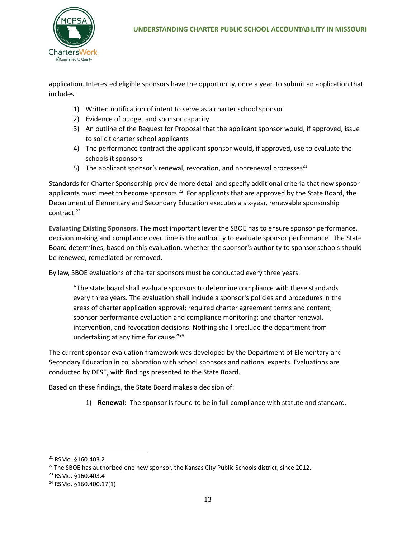

application. Interested eligible sponsors have the opportunity, once a year, to submit an application that includes:

- 1) Written notification of intent to serve as a charter school sponsor
- 2) Evidence of budget and sponsor capacity
- 3) An outline of the Request for Proposal that the applicant sponsor would, if approved, issue to solicit charter school applicants
- 4) The performance contract the applicant sponsor would, if approved, use to evaluate the schools it sponsors
- 5) The applicant sponsor's renewal, revocation, and nonrenewal processes<sup>21</sup>

Standards for Charter Sponsorship provide more detail and specify additional criteria that new sponsor applicants must meet to become sponsors.<sup>22</sup> For applicants that are approved by the State Board, the Department of Elementary and Secondary Education executes a six-year, renewable sponsorship contract. 23

**Evaluating Existing Sponsors.** The most important lever the SBOE has to ensure sponsor performance, decision making and compliance over time is the authority to evaluate sponsor performance. The State Board determines, based on this evaluation, whether the sponsor's authority to sponsor schools should be renewed, remediated or removed.

By law, SBOE evaluations of charter sponsors must be conducted every three years:

"The state board shall evaluate sponsors to determine compliance with these standards every three years. The evaluation shall include a sponsor's policies and procedures in the areas of charter application approval; required charter agreement terms and content; sponsor performance evaluation and compliance monitoring; and charter renewal, intervention, and revocation decisions. Nothing shall preclude the department from undertaking at any time for cause."<sup>24</sup>

The current sponsor evaluation framework was developed by the Department of Elementary and Secondary Education in collaboration with school sponsors and national experts. Evaluations are conducted by DESE, with findings presented to the State Board.

Based on these findings, the State Board makes a decision of:

1) **Renewal:** The sponsor is found to be in full compliance with statute and standard.

<sup>21</sup> RSMo. §160.403.2

 $^{22}$  The SBOE has authorized one new sponsor, the Kansas City Public Schools district, since 2012.

<sup>23</sup> RSMo. §160.403.4

<sup>24</sup> RSMo. §160.400.17(1)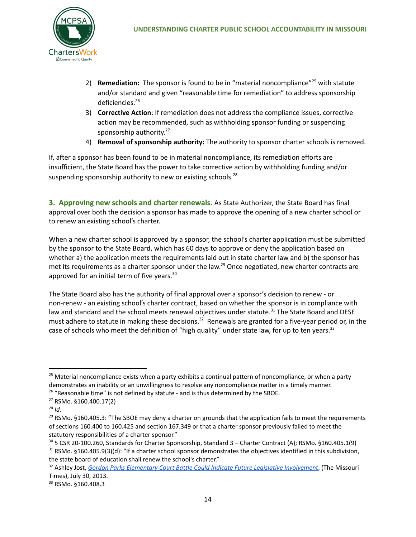- 2) **Remediation:** The sponsor is found to be in "material noncompliance"<sup>25</sup> with statute and/or standard and given "reasonable time for remediation" to address sponsorship deficiencies. 26
- 3) **Corrective Action**: If remediation does not address the compliance issues, corrective action may be recommended, such as withholding sponsor funding or suspending sponsorship authority.<sup>27</sup>
- 4) **Removal of sponsorship authority:** The authority to sponsor charter schools is removed.

If, after a sponsor has been found to be in material noncompliance, its remediation efforts are insufficient, the State Board has the power to take corrective action by withholding funding and/or suspending sponsorship authority to new or existing schools.<sup>28</sup>

**3. Approving new schools and charter renewals.** As State Authorizer, the State Board has final approval over both the decision a sponsor has made to approve the opening of a new charter school or to renew an existing school's charter.

When a new charter school is approved by a sponsor, the school's charter application must be submitted by the sponsor to the State Board, which has 60 days to approve or deny the application based on whether a) the application meets the requirements laid out in state charter law and b) the sponsor has met its requirements as a charter sponsor under the law. <sup>29</sup> Once negotiated, new charter contracts are approved for an initial term of five years.<sup>30</sup>

The State Board also has the authority of final approval over a sponsor's decision to renew - or non-renew - an existing school's charter contract, based on whether the sponsor is in compliance with law and standard and the school meets renewal objectives under statute.<sup>31</sup> The State Board and DESE must adhere to statute in making these decisions.<sup>32</sup> Renewals are granted for a five-year period or, in the case of schools who meet the definition of "high quality" under state law, for up to ten years.<sup>33</sup>

<sup>&</sup>lt;sup>25</sup> Material noncompliance exists when a party exhibits a continual pattern of noncompliance, or when a party demonstrates an inability or an unwillingness to resolve any noncompliance matter in a timely manner.

<sup>&</sup>lt;sup>26</sup> "Reasonable time" is not defined by statute - and is thus determined by the SBOE.

<sup>27</sup> RSMo. §160.400.17(2)

*<sup>28</sup> Id.*

 $29$  RSMo. §160.405.3: "The SBOE may deny a charter on grounds that the application fails to meet the requirements of sections 160.400 to 160.425 and section 167.349 or that a charter sponsor previously failed to meet the statutory responsibilities of a charter sponsor."

<sup>&</sup>lt;sup>31</sup> RSMo. §160.405.9(3)(d): "If a charter school sponsor demonstrates the objectives identified in this subdivision, the state board of education shall renew the school's charter."  $30$  5 CSR 20-100.260, Standards for Charter Sponsorship, Standard 3 – Charter Contract (A); RSMo. §160.405.1(9)

<sup>32</sup> Ashley Jost, *Gordon Parks Elementary Court Battle Could Indicate Future Legislative [Involvement](https://themissouritimes.com/gordon-parks-elementary-court-battle-could-indicate-future-legislative-%20involvement/)*, (The Missouri Times), July 30, 2013.

<sup>33</sup> RSMo. §160.408.3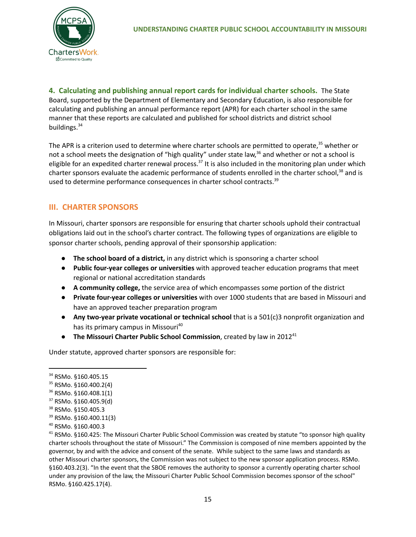**4. Calculating and publishing annual report cards for individual charter schools.** The State Board, supported by the Department of Elementary and Secondary Education, is also responsible for calculating and publishing an annual performance report (APR) for each charter school in the same manner that these reports are calculated and published for school districts and district school buildings.<sup>34</sup>

The APR is a criterion used to determine where charter schools are permitted to operate,<sup>35</sup> whether or not a school meets the designation of "high quality" under state law,<sup>36</sup> and whether or not a school is eligible for an expedited charter renewal process.<sup>37</sup> It is also included in the monitoring plan under which charter sponsors evaluate the academic performance of students enrolled in the charter school,<sup>38</sup> and is used to determine performance consequences in charter school contracts.<sup>39</sup>

### **III. CHARTER SPONSORS**

In Missouri, charter sponsors are responsible for ensuring that charter schools uphold their contractual obligations laid out in the school's charter contract. The following types of organizations are eligible to sponsor charter schools, pending approval of their sponsorship application:

- **The school board of a district,** in any district which is sponsoring a charter school
- **Public four-year colleges or universities** with approved teacher education programs that meet regional or national accreditation standards
- **A community college,** the service area of which encompasses some portion of the district
- **Private four-year colleges or universities** with over 1000 students that are based in Missouri and have an approved teacher preparation program
- **Any two-year private vocational or technical school** that is a 501(c)3 nonprofit organization and has its primary campus in Missouri<sup>40</sup>
- **The Missouri Charter Public School Commission**, created by law in 2012 41

Under statute, approved charter sponsors are responsible for:

<sup>34</sup> RSMo. §160.405.15

<sup>35</sup> RSMo. §160.400.2(4)

<sup>36</sup> RSMo. §160.408.1(1)

 $37$  RSMo. §160.405.9(d)

<sup>38</sup> RSMo. §150.405.3

<sup>39</sup> RSMo. §160.400.11(3)

<sup>40</sup> RSMo. §160.400.3

 $41$  RSMo. §160.425: The Missouri Charter Public School Commission was created by statute "to sponsor high quality charter schools throughout the state of Missouri." The Commission is composed of nine members appointed by the governor, by and with the advice and consent of the senate. While subject to the same laws and standards as other Missouri charter sponsors, the Commission was not subject to the new sponsor application process. RSMo. §160.403.2(3). "In the event that the SBOE removes the authority to sponsor a currently operating charter school under any provision of the law, the Missouri Charter Public School Commission becomes sponsor of the school" RSMo. §160.425.17(4).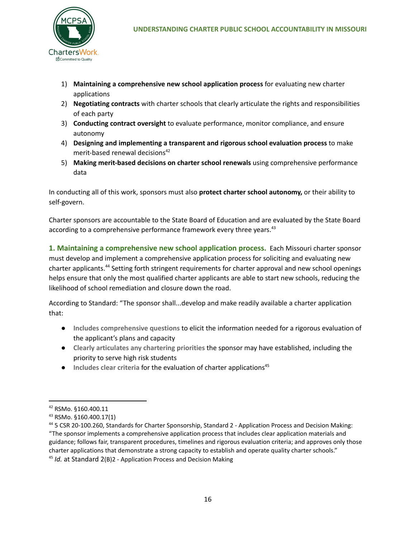

- 1) **Maintaining a comprehensive new school application process** for evaluating new charter applications
- 2) **Negotiating contracts** with charter schools that clearly articulate the rights and responsibilities of each party
- 3) **Conducting contract oversight** to evaluate performance, monitor compliance, and ensure autonomy
- 4) **Designing and implementing a transparent and rigorous school evaluation process** to make merit-based renewal decisions 42
- 5) **Making merit-based decisions on charter school renewals** using comprehensive performance data

In conducting all of this work, sponsors must also **protect charter school autonomy,** or their ability to self-govern.

Charter sponsors are accountable to the State Board of Education and are evaluated by the State Board according to a comprehensive performance framework every three years.<sup>43</sup>

**1. Maintaining a comprehensive new school application process.** Each Missouri charter sponsor must develop and implement a comprehensive application process for soliciting and evaluating new charter applicants.<sup>44</sup> Setting forth stringent requirements for charter approval and new school openings helps ensure that only the most qualified charter applicants are able to start new schools, reducing the likelihood of school remediation and closure down the road.

According to Standard: "The sponsor shall...develop and make readily available a charter application that:

- **Includes comprehensive questions** to elicit the information needed for a rigorous evaluation of the applicant's plans and capacity
- **Clearly articulates any chartering priorities** the sponsor may have established, including the priority to serve high risk students
- **Includes clear criteria** for the evaluation of charter applications 45

<sup>42</sup> RSMo. §160.400.11

<sup>43</sup> RSMo. §160.400.17(1)

<sup>44</sup> 5 CSR 20-100.260, Standards for Charter Sponsorship, Standard 2 - Application Process and Decision Making: "The sponsor implements a comprehensive application process that includes clear application materials and guidance; follows fair, transparent procedures, timelines and rigorous evaluation criteria; and approves only those charter applications that demonstrate a strong capacity to establish and operate quality charter schools."

<sup>45</sup> *Id.* at Standard 2(B)2 - Application Process and Decision Making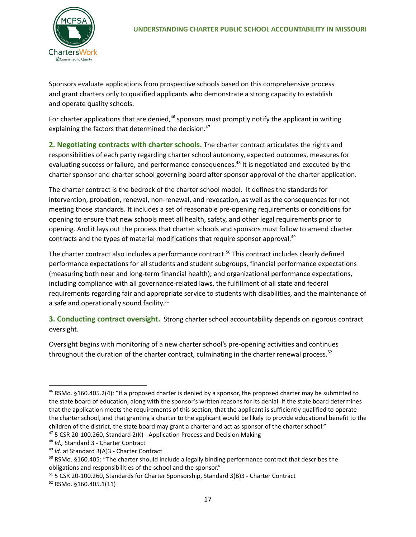Sponsors evaluate applications from prospective schools based on this comprehensive process and grant charters only to qualified applicants who demonstrate a strong capacity to establish and operate quality schools.

For charter applications that are denied,<sup>46</sup> sponsors must promptly notify the applicant in writing explaining the factors that determined the decision. 47

**2. Negotiating contracts with charter schools.** The charter contract articulates the rights and responsibilities of each party regarding charter school autonomy, expected outcomes, measures for evaluating success or failure, and performance consequences.<sup>48</sup> It is negotiated and executed by the charter sponsor and charter school governing board after sponsor approval of the charter application.

The charter contract is the bedrock of the charter school model. It defines the standards for intervention, probation, renewal, non-renewal, and revocation, as well as the consequences for not meeting those standards. It includes a set of reasonable pre-opening requirements or conditions for opening to ensure that new schools meet all health, safety, and other legal requirements prior to opening. And it lays out the process that charter schools and sponsors must follow to amend charter contracts and the types of material modifications that require sponsor approval. 49

The charter contract also includes a performance contract.<sup>50</sup> This contract includes clearly defined performance expectations for all students and student subgroups, financial performance expectations (measuring both near and long-term financial health); and organizational performance expectations, including compliance with all governance-related laws, the fulfillment of all state and federal requirements regarding fair and appropriate service to students with disabilities, and the maintenance of a safe and operationally sound facility.<sup>51</sup>

**3. Conducting contract oversight.** Strong charter school accountability depends on rigorous contract oversight.

Oversight begins with monitoring of a new charter school's pre-opening activities and continues throughout the duration of the charter contract, culminating in the charter renewal process.<sup>52</sup>

 $47$  5 CSR 20-100.260, Standard 2(K) - Application Process and Decision Making  $46$  RSMo. §160.405.2(4): "If a proposed charter is denied by a sponsor, the proposed charter may be submitted to the state board of education, along with the sponsor's written reasons for its denial. If the state board determines that the application meets the requirements of this section, that the applicant is sufficiently qualified to operate the charter school, and that granting a charter to the applicant would be likely to provide educational benefit to the children of the district, the state board may grant a charter and act as sponsor of the charter school."

<sup>48</sup> *Id.,* Standard 3 - Charter Contract

<sup>49</sup> *Id.* at Standard 3(A)3 - Charter Contract

 $50$  RSMo. §160.405: "The charter should include a legally binding performance contract that describes the obligations and responsibilities of the school and the sponsor."

<sup>51</sup> 5 CSR 20-100.260, Standards for Charter Sponsorship, Standard 3(B)3 - Charter Contract

<sup>52</sup> RSMo. §160.405.1(11)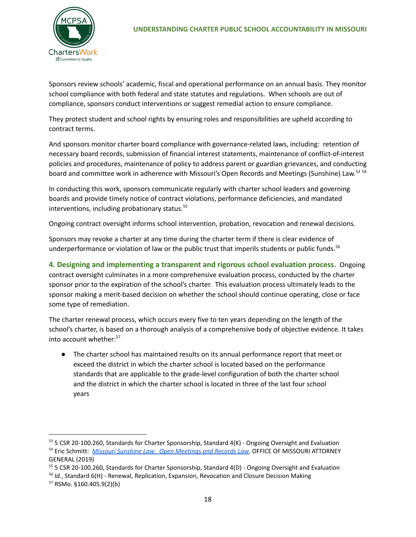

Sponsors review schools' academic, fiscal and operational performance on an annual basis. They monitor school compliance with both federal and state statutes and regulations. When schools are out of compliance, sponsors conduct interventions or suggest remedial action to ensure compliance.

They protect student and school rights by ensuring roles and responsibilities are upheld according to contract terms.

And sponsors monitor charter board compliance with governance-related laws, including: retention of necessary board records, submission of financial interest statements, maintenance of conflict-of-interest policies and procedures, maintenance of policy to address parent or guardian grievances, and conducting board and committee work in adherence with Missouri's Open Records and Meetings (Sunshine) Law.<sup>53 54</sup>

In conducting this work, sponsors communicate regularly with charter school leaders and governing boards and provide timely notice of contract violations, performance deficiencies, and mandated interventions, including probationary status. 55

Ongoing contract oversight informs school intervention, probation, revocation and renewal decisions.

Sponsors may revoke a charter at any time during the charter term if there is clear evidence of underperformance or violation of law or the public trust that imperils students or public funds. 56

**4. Designing and implementing a transparent and rigorous school evaluation process.** Ongoing contract oversight culminates in a more comprehensive evaluation process, conducted by the charter sponsor prior to the expiration of the school's charter. This evaluation process ultimately leads to the sponsor making a merit-based decision on whether the school should continue operating, close or face some type of remediation.

The charter renewal process, which occurs every five to ten years depending on the length of the school's charter, is based on a thorough analysis of a comprehensive body of objective evidence. It takes into account whether: 57

● The charter school has maintained results on its annual performance report that meet or exceed the district in which the charter school is located based on the performance standards that are applicable to the grade-level configuration of both the charter school and the district in which the charter school is located in three of the last four school years

<sup>54</sup> Eric Schmitt: *Missouri Sunshine Law: Open Meetings and Records Law,* OFFICE OF MISSOURI [ATTORNEY](https://ago.mo.gov/docs/default-source/publications/missourisunshinelaw.pdf?sfvrsn=4#:~:text=The%20Sunshine%20Law%20declares%20Missouri) [GENERAL](https://ago.mo.gov/docs/default-source/publications/missourisunshinelaw.pdf?sfvrsn=4#:~:text=The%20Sunshine%20Law%20declares%20Missouri) (2019) 53 5 CSR 20-100.260, Standards for Charter Sponsorship, Standard 4(K) - Ongoing Oversight and Evaluation

<sup>&</sup>lt;sup>55</sup> 5 CSR 20-100.260, Standards for Charter Sponsorship, Standard 4(D) - Ongoing Oversight and Evaluation

<sup>56</sup> *Id.*, Standard 6(H) - Renewal, Replication, Expansion, Revocation and Closure Decision Making

<sup>57</sup> RSMo. §160.405.9(2)(b)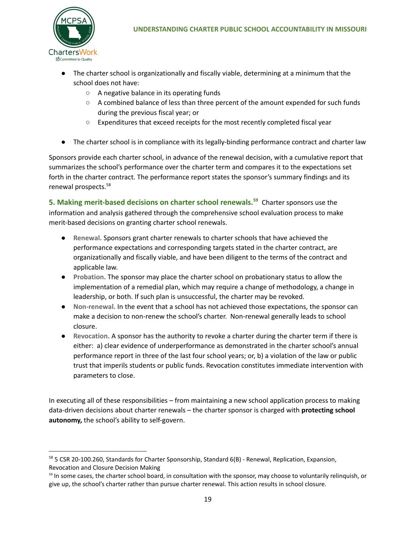- The charter school is organizationally and fiscally viable, determining at a minimum that the school does not have:
	- A negative balance in its operating funds
	- A combined balance of less than three percent of the amount expended for such funds during the previous fiscal year; or
	- Expenditures that exceed receipts for the most recently completed fiscal year
- The charter school is in compliance with its legally-binding performance contract and charter law

Sponsors provide each charter school, in advance of the renewal decision, with a cumulative report that summarizes the school's performance over the charter term and compares it to the expectations set forth in the charter contract. The performance report states the sponsor's summary findings and its renewal prospects. 58

**5. Making merit-based decisions on charter school renewals.<sup>59</sup>** Charter sponsors use the information and analysis gathered through the comprehensive school evaluation process to make merit-based decisions on granting charter school renewals.

- **Renewal.** Sponsors grant charter renewals to charter schools that have achieved the performance expectations and corresponding targets stated in the charter contract, are organizationally and fiscally viable, and have been diligent to the terms of the contract and applicable law.
- **● Probation.** The sponsor may place the charter school on probationary status to allow the implementation of a remedial plan, which may require a change of methodology, a change in leadership, or both. If such plan is unsuccessful, the charter may be revoked.
- Non-renewal. In the event that a school has not achieved those expectations, the sponsor can make a decision to non-renew the school's charter. Non-renewal generally leads to school closure.
- **Revocation.** A sponsor has the authority to revoke a charter during the charter term if there is either: a) clear evidence of underperformance as demonstrated in the charter school's annual performance report in three of the last four school years; or, b) a violation of the law or public trust that imperils students or public funds. Revocation constitutes immediate intervention with parameters to close.

In executing all of these responsibilities – from maintaining a new school application process to making data-driven decisions about charter renewals – the charter sponsor is charged with **protecting school autonomy,** the school's ability to self-govern.

<sup>58 5</sup> CSR 20-100.260, Standards for Charter Sponsorship, Standard 6(B) - Renewal, Replication, Expansion, Revocation and Closure Decision Making

<sup>&</sup>lt;sup>59</sup> In some cases, the charter school board, in consultation with the sponsor, may choose to voluntarily relinquish, or give up, the school's charter rather than pursue charter renewal. This action results in school closure.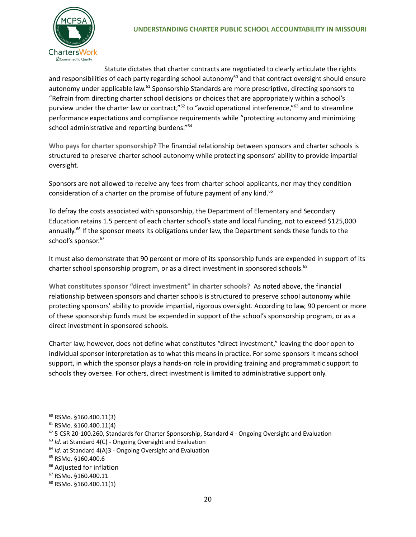

Statute dictates that charter contracts are negotiated to clearly articulate the rights and responsibilities of each party regarding school autonomy<sup>60</sup> and that contract oversight should ensure autonomy under applicable law.<sup>61</sup> Sponsorship Standards are more prescriptive, directing sponsors to "Refrain from directing charter school decisions or choices that are appropriately within a school's purview under the charter law or contract,"<sup>62</sup> to "avoid operational interference,"<sup>63</sup> and to streamline performance expectations and compliance requirements while "protecting autonomy and minimizing school administrative and reporting burdens." 64

**Who pays for charter sponsorship?** The financial relationship between sponsors and charter schools is structured to preserve charter school autonomy while protecting sponsors' ability to provide impartial oversight.

Sponsors are not allowed to receive any fees from charter school applicants, nor may they condition consideration of a charter on the promise of future payment of any kind.<sup>65</sup>

To defray the costs associated with sponsorship, the Department of Elementary and Secondary Education retains 1.5 percent of each charter school's state and local funding, not to exceed \$125,000 annually.<sup>66</sup> If the sponsor meets its obligations under law, the Department sends these funds to the school's sponsor. 67

It must also demonstrate that 90 percent or more of its sponsorship funds are expended in support of its charter school sponsorship program, or as a direct investment in sponsored schools.<sup>68</sup>

**What constitutes sponsor "direct investment" in charter schools?** As noted above, the financial relationship between sponsors and charter schools is structured to preserve school autonomy while protecting sponsors' ability to provide impartial, rigorous oversight. According to law, 90 percent or more of these sponsorship funds must be expended in support of the school's sponsorship program, or as a direct investment in sponsored schools.

Charter law, however, does not define what constitutes "direct investment," leaving the door open to individual sponsor interpretation as to what this means in practice. For some sponsors it means school support, in which the sponsor plays a hands-on role in providing training and programmatic support to schools they oversee. For others, direct investment is limited to administrative support only.

<sup>60</sup> RSMo. §160.400.11(3)

<sup>61</sup> RSMo. §160.400.11(4)

 $62$  5 CSR 20-100.260, Standards for Charter Sponsorship, Standard 4 - Ongoing Oversight and Evaluation

<sup>63</sup> *Id.* at Standard 4(C) - Ongoing Oversight and Evaluation

<sup>64</sup> *Id.* at Standard 4(A)3 - Ongoing Oversight and Evaluation

<sup>65</sup> RSMo. §160.400.6

<sup>&</sup>lt;sup>66</sup> Adjusted for inflation

<sup>67</sup> RSMo. §160.400.11

<sup>68</sup> RSMo. §160.400.11(1)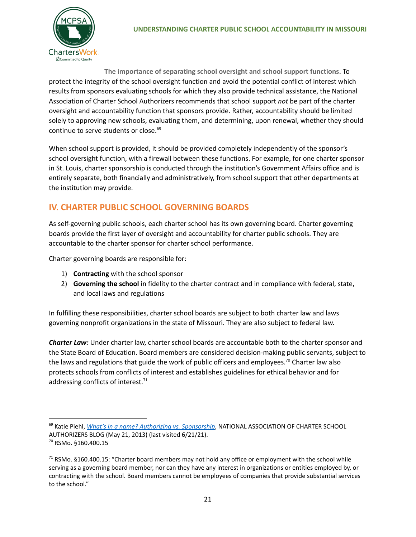

**The importance of separating school oversight and school support functions.** To protect the integrity of the school oversight function and avoid the potential conflict of interest which results from sponsors evaluating schools for which they also provide technical assistance, the National Association of Charter School Authorizers recommends that school support *not* be part of the charter oversight and accountability function that sponsors provide. Rather, accountability should be limited solely to approving new schools, evaluating them, and determining, upon renewal, whether they should continue to serve students or close. 69

When school support is provided, it should be provided completely independently of the sponsor's school oversight function, with a firewall between these functions. For example, for one charter sponsor in St. Louis, charter sponsorship is conducted through the institution's Government Affairs office and is entirely separate, both financially and administratively, from school support that other departments at the institution may provide.

# **IV. CHARTER PUBLIC SCHOOL GOVERNING BOARDS**

As self-governing public schools, each charter school has its own governing board. Charter governing boards provide the first layer of oversight and accountability for charter public schools. They are accountable to the charter sponsor for charter school performance.

Charter governing boards are responsible for:

- 1) **Contracting** with the school sponsor
- 2) **Governing the school** in fidelity to the charter contract and in compliance with federal, state, and local laws and regulations

In fulfilling these responsibilities, charter school boards are subject to both charter law and laws governing nonprofit organizations in the state of Missouri. They are also subject to federal law.

*Charter Law:* Under charter law, charter school boards are accountable both to the charter sponsor and the State Board of Education. Board members are considered decision-making public servants, subject to the laws and regulations that guide the work of public officers and employees.<sup>70</sup> Charter law also protects schools from conflicts of interest and establishes guidelines for ethical behavior and for addressing conflicts of interest.<sup>71</sup>

<sup>69</sup> Katie Piehl, *What's in a name? Authorizing vs. [Sponsorship](https://www.qualitycharters.org/2013/05/sponsorauthorizer/)*, NATIONAL ASSOCIATION OF CHARTER SCHOOL AUTHORIZERS BLOG (May 21, 2013) (last visited 6/21/21).

<sup>70</sup> RSMo. §160.400.15

<sup>&</sup>lt;sup>71</sup> RSMo. §160.400.15: "Charter board members may not hold any office or employment with the school while serving as a governing board member, nor can they have any interest in organizations or entities employed by, or contracting with the school. Board members cannot be employees of companies that provide substantial services to the school."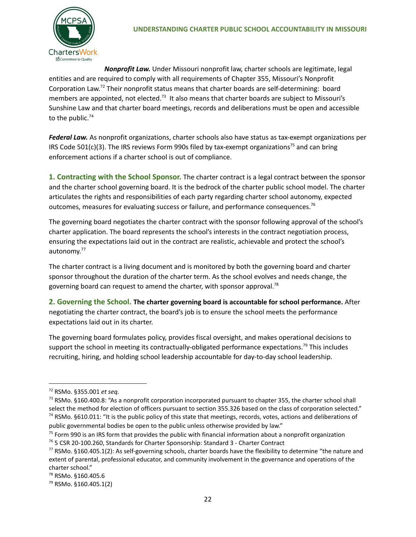

*Nonprofit Law.* Under Missouri nonprofit law, charter schools are legitimate, legal entities and are required to comply with all requirements of Chapter 355, Missouri's Nonprofit Corporation Law.<sup>72</sup> Their nonprofit status means that charter boards are self-determining: board members are appointed, not elected.<sup>73</sup> It also means that charter boards are subject to Missouri's Sunshine Law and that charter board meetings, records and deliberations must be open and accessible to the public.<sup>74</sup>

*Federal Law.* As nonprofit organizations, charter schools also have status as tax-exempt organizations per IRS Code 501(c)(3). The IRS reviews Form 990s filed by tax-exempt organizations<sup>75</sup> and can bring enforcement actions if a charter school is out of compliance.

**1. Contracting with the School Sponsor.** The charter contract is a legal contract between the sponsor and the charter school governing board. It is the bedrock of the charter public school model. The charter articulates the rights and responsibilities of each party regarding charter school autonomy, expected outcomes, measures for evaluating success or failure, and performance consequences.<sup>76</sup>

The governing board negotiates the charter contract with the sponsor following approval of the school's charter application. The board represents the school's interests in the contract negotiation process, ensuring the expectations laid out in the contract are realistic, achievable and protect the school's autonomy.<sup>77</sup>

The charter contract is a living document and is monitored by both the governing board and charter sponsor throughout the duration of the charter term. As the school evolves and needs change, the governing board can request to amend the charter, with sponsor approval.<sup>78</sup>

**2. Governing the School. The charter governing board is accountable for school performance.** After negotiating the charter contract, the board's job is to ensure the school meets the performance expectations laid out in its charter.

The governing board formulates policy, provides fiscal oversight, and makes operational decisions to support the school in meeting its contractually-obligated performance expectations.<sup>79</sup> This includes recruiting, hiring, and holding school leadership accountable for day-to-day school leadership.

<sup>72</sup> RSMo. §355.001 *et seq.*

 $74$  RSMo. §610.011: "It is the public policy of this state that meetings, records, votes, actions and deliberations of public governmental bodies be open to the public unless otherwise provided by law."  $<sup>73</sup>$  RSMo. §160.400.8: "As a nonprofit corporation incorporated pursuant to chapter 355, the charter school shall</sup> select the method for election of officers pursuant to section 355.326 based on the class of corporation selected."

 $75$  Form 990 is an IRS form that provides the public with financial information about a nonprofit organization

<sup>76</sup> 5 CSR 20-100.260, Standards for Charter Sponsorship: Standard 3 - Charter Contract

 $77$  RSMo. §160.405.1(2): As self-governing schools, charter boards have the flexibility to determine "the nature and extent of parental, professional educator, and community involvement in the governance and operations of the charter school."

<sup>78</sup> RSMo. §160.405.6

<sup>79</sup> RSMo. §160.405.1(2)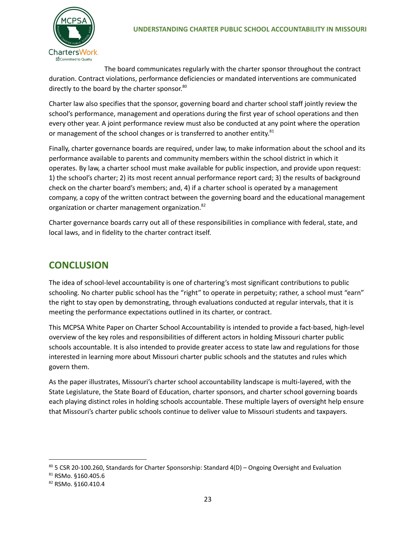

The board communicates regularly with the charter sponsor throughout the contract duration. Contract violations, performance deficiencies or mandated interventions are communicated directly to the board by the charter sponsor.<sup>80</sup>

Charter law also specifies that the sponsor, governing board and charter school staff jointly review the school's performance, management and operations during the first year of school operations and then every other year. A joint performance review must also be conducted at any point where the operation or management of the school changes or is transferred to another entity.<sup>81</sup>

Finally, charter governance boards are required, under law, to make information about the school and its performance available to parents and community members within the school district in which it operates. By law, a charter school must make available for public inspection, and provide upon request: 1) the school's charter; 2) its most recent annual performance report card; 3) the results of background check on the charter board's members; and, 4) if a charter school is operated by a management company, a copy of the written contract between the governing board and the educational management organization or charter management organization.<sup>82</sup>

Charter governance boards carry out all of these responsibilities in compliance with federal, state, and local laws, and in fidelity to the charter contract itself.

# **CONCLUSION**

The idea of school-level accountability is one of chartering's most significant contributions to public schooling. No charter public school has the "right" to operate in perpetuity; rather, a school must "earn" the right to stay open by demonstrating, through evaluations conducted at regular intervals, that it is meeting the performance expectations outlined in its charter, or contract.

This MCPSA White Paper on Charter School Accountability is intended to provide a fact-based, high-level overview of the key roles and responsibilities of different actors in holding Missouri charter public schools accountable. It is also intended to provide greater access to state law and regulations for those interested in learning more about Missouri charter public schools and the statutes and rules which govern them.

As the paper illustrates, Missouri's charter school accountability landscape is multi-layered, with the State Legislature, the State Board of Education, charter sponsors, and charter school governing boards each playing distinct roles in holding schools accountable. These multiple layers of oversight help ensure that Missouri's charter public schools continue to deliver value to Missouri students and taxpayers.

 $80$  5 CSR 20-100.260, Standards for Charter Sponsorship: Standard 4(D) – Ongoing Oversight and Evaluation

<sup>81</sup> RSMo. §160.405.6

<sup>82</sup> RSMo. §160.410.4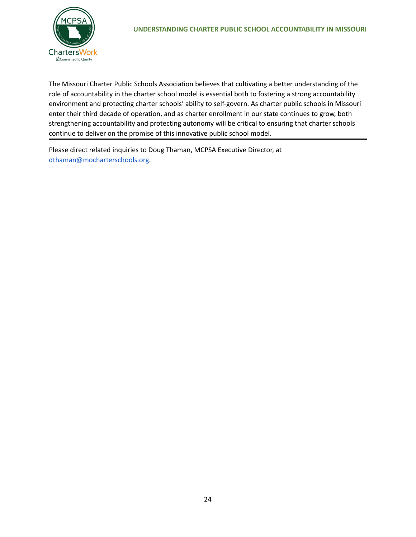

The Missouri Charter Public Schools Association believes that cultivating a better understanding of the role of accountability in the charter school model is essential both to fostering a strong accountability environment and protecting charter schools' ability to self-govern. As charter public schools in Missouri enter their third decade of operation, and as charter enrollment in our state continues to grow, both strengthening accountability and protecting autonomy will be critical to ensuring that charter schools continue to deliver on the promise of this innovative public school model.

Please direct related inquiries to Doug Thaman, MCPSA Executive Director, at [dthaman@mocharterschools.org](mailto:dthaman@mocharterschools.org).